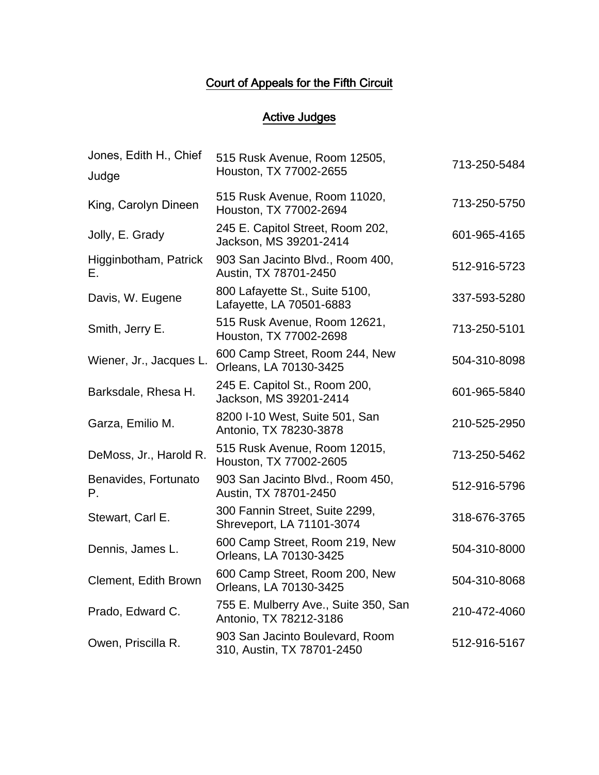## Court of Appeals for the Fifth Circuit

## Active Judges

| Jones, Edith H., Chief<br>Judge | 515 Rusk Avenue, Room 12505,<br>Houston, TX 77002-2655         | 713-250-5484 |
|---------------------------------|----------------------------------------------------------------|--------------|
| King, Carolyn Dineen            | 515 Rusk Avenue, Room 11020,<br>Houston, TX 77002-2694         | 713-250-5750 |
| Jolly, E. Grady                 | 245 E. Capitol Street, Room 202,<br>Jackson, MS 39201-2414     | 601-965-4165 |
| Higginbotham, Patrick<br>Е.     | 903 San Jacinto Blvd., Room 400,<br>Austin, TX 78701-2450      | 512-916-5723 |
| Davis, W. Eugene                | 800 Lafayette St., Suite 5100,<br>Lafayette, LA 70501-6883     | 337-593-5280 |
| Smith, Jerry E.                 | 515 Rusk Avenue, Room 12621,<br>Houston, TX 77002-2698         | 713-250-5101 |
| Wiener, Jr., Jacques L.         | 600 Camp Street, Room 244, New<br>Orleans, LA 70130-3425       | 504-310-8098 |
| Barksdale, Rhesa H.             | 245 E. Capitol St., Room 200,<br>Jackson, MS 39201-2414        | 601-965-5840 |
| Garza, Emilio M.                | 8200 I-10 West, Suite 501, San<br>Antonio, TX 78230-3878       | 210-525-2950 |
| DeMoss, Jr., Harold R.          | 515 Rusk Avenue, Room 12015,<br>Houston, TX 77002-2605         | 713-250-5462 |
| Benavides, Fortunato<br>Р.      | 903 San Jacinto Blvd., Room 450,<br>Austin, TX 78701-2450      | 512-916-5796 |
| Stewart, Carl E.                | 300 Fannin Street, Suite 2299,<br>Shreveport, LA 71101-3074    | 318-676-3765 |
| Dennis, James L.                | 600 Camp Street, Room 219, New<br>Orleans, LA 70130-3425       | 504-310-8000 |
| <b>Clement, Edith Brown</b>     | 600 Camp Street, Room 200, New<br>Orleans, LA 70130-3425       | 504-310-8068 |
| Prado, Edward C.                | 755 E. Mulberry Ave., Suite 350, San<br>Antonio, TX 78212-3186 | 210-472-4060 |
| Owen, Priscilla R.              | 903 San Jacinto Boulevard, Room<br>310, Austin, TX 78701-2450  | 512-916-5167 |